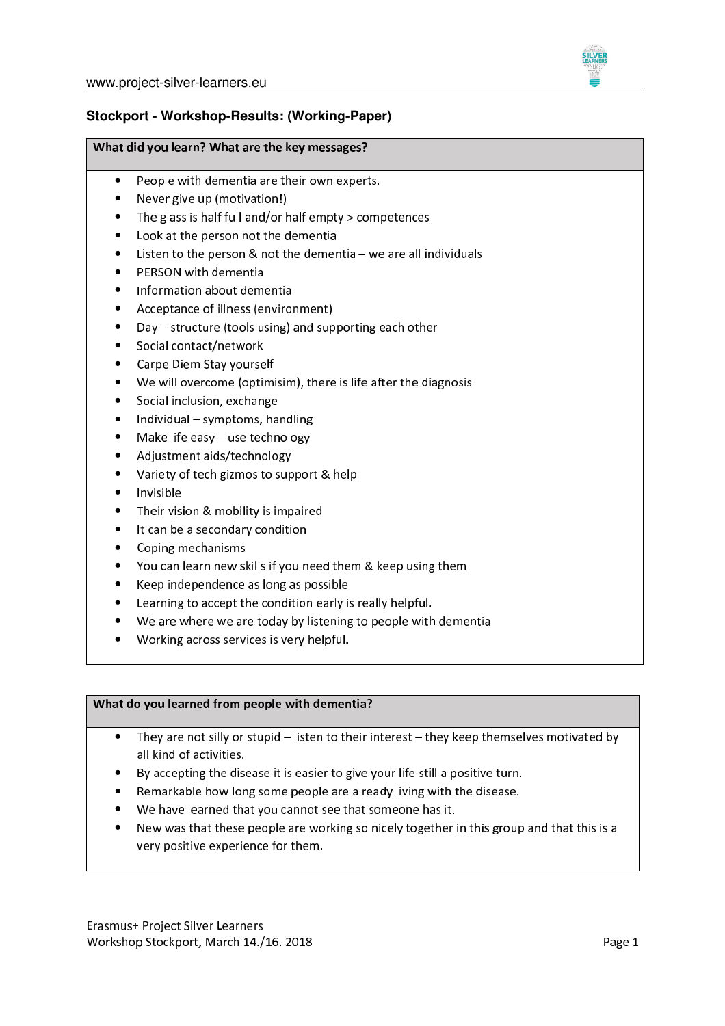

# Stockport - Workshop-Results: (Working-Paper)

#### What did you learn? What are the key messages?

- People with dementia are their own experts.  $\bullet$
- Never give up (motivation!)
- The glass is half full and/or half empty > competences
- Look at the person not the dementia
- Listen to the person  $&$  not the dementia  $-$  we are all individuals
- PERSON with dementia
- Information about dementia
- Acceptance of illness (environment)
- Day structure (tools using) and supporting each other
- Social contact/network
- $\bullet$ Carpe Diem Stay yourself
- We will overcome (optimisim), there is life after the diagnosis
- Social inclusion, exchange
- $\bullet$ Individual - symptoms, handling
- Make life easy use technology
- Adjustment aids/technology
- $\bullet$ Variety of tech gizmos to support & help
- Invisible
- Their vision & mobility is impaired
- $\bullet$ It can be a secondary condition
- Coping mechanisms
- You can learn new skills if you need them & keep using them
- Keep independence as long as possible  $\bullet$
- Learning to accept the condition early is really helpful.  $\bullet$
- We are where we are today by listening to people with dementia
- Working across services is very helpful.

### What do you learned from people with dementia?

- They are not silly or stupid listen to their interest they keep themselves motivated by  $\bullet$ all kind of activities.
- By accepting the disease it is easier to give your life still a positive turn.
- Remarkable how long some people are already living with the disease.
- We have learned that you cannot see that someone has it.
- New was that these people are working so nicely together in this group and that this is a very positive experience for them.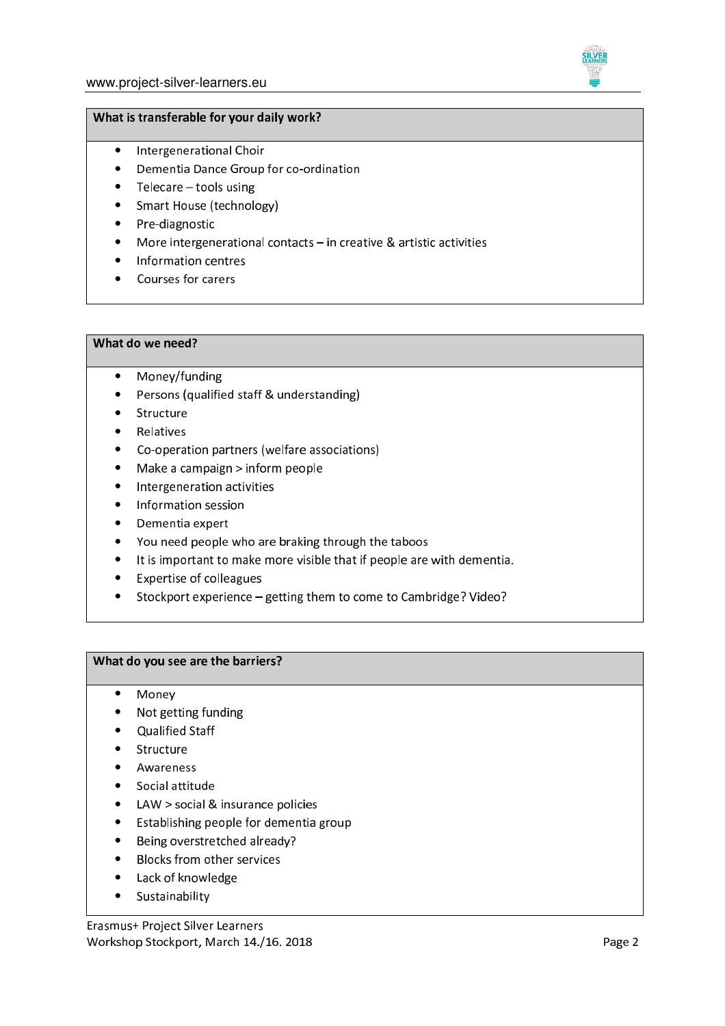

#### What is transferable for your daily work?

- Intergenerational Choir
- Dementia Dance Group for co-ordination
- $\bullet$  Telecare tools using
- Smart House (technology)
- Pre-diagnostic
- More intergenerational contacts  $-$  in creative & artistic activities
- Information centres
- Courses for carers

## What do we need?

- Money/funding  $\bullet$
- Persons (qualified staff & understanding)  $\bullet$
- $\bullet$ Structure
- Relatives
- Co-operation partners (welfare associations)
- Make a campaign > inform people  $\bullet$
- Intergeneration activities
- Information session
- $\bullet$ Dementia expert
- You need people who are braking through the taboos
- It is important to make more visible that if people are with dementia.
- Expertise of colleagues
- Stockport experience getting them to come to Cambridge? Video?

### What do you see are the barriers?

- Monev  $\bullet$
- Not getting funding
- Qualified Staff
- Structure
- Awareness
- Social attitude
- LAW > social & insurance policies
- Establishing people for dementia group
- Being overstretched already?
- Blocks from other services
- Lack of knowledge
- Sustainability

Erasmus+ Project Silver Learners Workshop Stockport, March 14./16. 2018